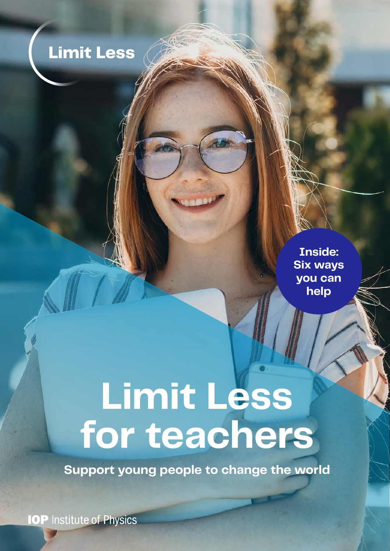# **Limit Less**

**Inside: Six ways you can help**

# **Limit Less for teachers**

**Support young people to change the world**

**IOP** Institute of Physics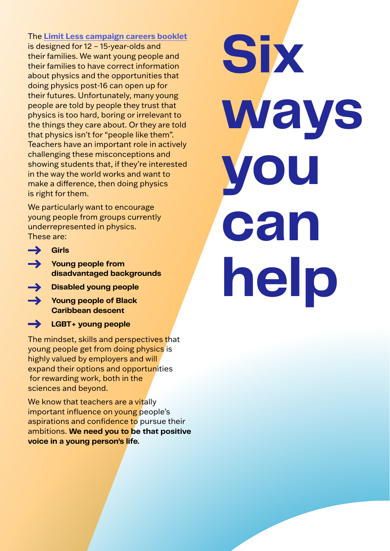The **[Limit Less campaign careers booklet](http://iop.org/Limit-Less-careers-booklet-UK-Ireland)** is designed for 12 – 15-year-olds and their families. We want young people and their families to have correct information about physics and the opportunities that doing physics post-16 can open up for their futures. Unfortunately, many young people are told by people they trust that physics is too hard, boring or irrelevant to the things they care about. Or they are told that physics isn't for "people like them". Teachers have an important role in actively challenging these misconceptions and showing students that, if they're interested in the way the world works and want to make a difference, then doing physics is right for them.

We particularly want to encourage young people from groups currently underrepresented in physics. These are:

- **Girls**
- **Young people from disadvantaged backgrounds**
- **Disabled young people**
- **Young people of Black Caribbean descent**
- $\rightarrow$ **LGBT+ young people**

The mindset, skills and perspectives that young people get from doing physics is highly valued by employers and will expand their options and opportunities for rewarding work, both in the sciences and beyond.

We know that teachers are a vitally important influence on young people's aspirations and confidence to pursue their ambitions. **We need you to be that positive voice in a young person's life.**

**Six ways you can help**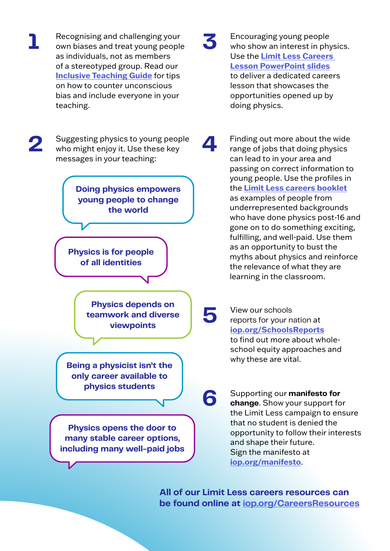

**All of our Limit Less careers resources can be found online at [iop.org/CareersResources](http://iop.org/careersresources)**